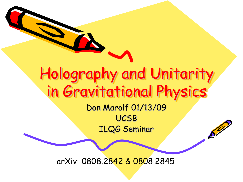# Holography and Unitarity in Gravitational Physics

Don Marolf 01/13/09 UCSB ILQG Seminar

 $\mathcal{S}^{\prime\prime}$ 

arXiv: 0808.2842 & 0808.2845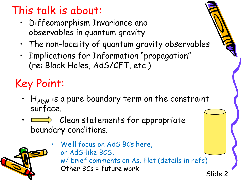#### This talk is about:

- Diffeomorphism Invariance and observables in quantum gravity
- The non-locality of quantum gravity observables
- Implications for Information "propagation" (re: Black Holes, AdS/CFT, etc.)

#### Key Point:

- $H_{ADM}$  is a pure boundary term on the constraint surface.
- $\cdot$   $\longrightarrow$  Clean statements for appropriate boundary conditions.



Slide 2 We'll focus on AdS BCs here, or AdS-like BCS, w/ brief comments on As. Flat (details in refs) Other BCs = future work

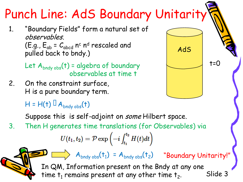## Punch Line: AdS Boundary Unitarity

1. "Boundary Fields" form a natural set of observables. (E.g.,  $E_{ab} = C_{abcd}$  n<sup>c</sup> n<sup>d</sup> rescaled and pulled back to bndy.)

> Let  $A_{bndy \, obs}(t)$  = algebra of boundary observables at time t

2. On the constraint surface, H is a pure boundary term.

 $H = H(t)$   $A_{bndy obs}(t)$ 

| AdS |       |
|-----|-------|
|     | $t=0$ |
|     |       |

Suppose this is self-adjoint on some Hilbert space.

3. Then H generates time translations (for Observables) via

$$
U(t_1,t_2) = \mathcal{P} \exp\left(-i \int_{t_1}^{t_2} H(t) dt\right)
$$

Slide 3  $\begin{array}{ccc} \hline \ \hline \ \hline \ \end{array}$  A<sub>bndy obs</sub>(t<sub>1</sub>) = A<sub>bndy obs</sub>(t<sub>2</sub>) "Boundary Unitarity! In QM, Information present on the Bndy at any one time  $t_1$  remains present at any other time  $t_2$ .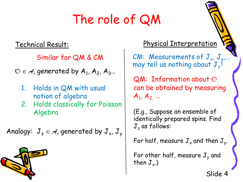### The role of QM

Similar for QM & CM

 $O \in \mathcal{A}$ , generated by  $A_1$ ,  $A_2$ ,  $A_3...$ 

- 1. Holds in QM with usual notion of algebra
- 2. Holds classically for Poisson Algebra

Analogy:  $J_z \in \mathcal{A}$ , generated by  $J_x$ ,  $J_y$ 

#### Technical Result: Physical Interpretation

CM: Measurements of  $J_{x}$ ,  $J_{y}$ . may tell us nothing about  $J_z$ !

 $QM:$  Information about  $O$ can be obtained by measuring  $A_1, A_2, ...$ 

(E.g., Suppose an ensemble of identically prepared spins. Find  $J<sub>z</sub>$  as follows:

For half, measure  $J_x$  and then  $J_y$ .

For other half, measure  $J_v$  and then  $J_{x}$ .)

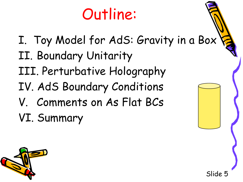# Outline:

I. Toy Model for AdS: Gravity in a Box II. Boundary Unitarity III. Perturbative Holography IV. AdS Boundary Conditions V. Comments on As Flat BCs VI. Summary

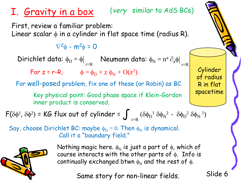

course interacts with the other parts of  $\phi$ . Info is continually exchanged btwn  $\phi_N$  and the rest of  $\phi$ .

Same story for non-linear fields.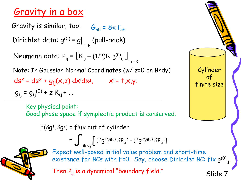#### Gravity in a box

Gravity is similar, too:  $G_{ab} = 8\pi T_{ab}$ Dirichlet data:  $g^{(0)} = g$ r=R (pull-back) Neumann data:  $P_{ij} = [K_{ij} - (1/2)K g^{(0)}_{ij}]$ r=R Note: In Gaussian Normal Coordinates (w/ z=0 on Bndy)  $ds^2 = dz^2 + g_{ij}(x,z) dx^i dx^j$ ,  $x^i = \pm x_i y$ .  $g_{ij}$  =  $g_{ij}$ <sup>(0)</sup> + z K<sub>ij</sub> + …

Key physical point: Good phase space if symplectic product is conserved.

 $F(\delta g^1, \delta g^2)$  = flux out of cylinder

$$
= \int_{Bndy} \left[ (\delta g^{1})^{ij(0)} \, \delta P_{ij}^{2} - (\delta g^{2})^{ij(0)} \, \delta P_{ij}^{1} \right]
$$



Slide 7 Expect well-posed initial value problem and short-time existence for BCs with F=0. Say, choose Dirichlet BC: fix  $g^{(0)}_{ij}$ . Then  $P_{ij}$  is a dynamical "boundary field."

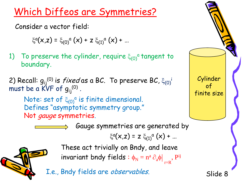Which Diffeos are Symmetries?

Consider a vector field:

$$
\xi^{a}(x,z) = \xi_{(0)}^{a}(x) + z \xi_{(1)}^{a}(x) + ...
$$

1) To preserve the cylinder, require  $\xi_{(0)}^{\alpha}$  tangent to boundary.

2) Recall:  $g_{\mathfrak{i}\mathfrak{j}}{}^{(0)}$  is  $fixed$  as a BC. To preserve BC,  $\xi_{(0)}{}^{\mathfrak{i}}$ must be a KVF of  $g_{\mathsf{i}\mathsf{j}}^{\mathsf{(0)}}$  .

Note: set of  $\xi_{(0)}^a$  is finite dimensional. Defines "asymptotic symmetry group." Not gauge symmetries.

Gauge symmetries are generated by

 $\xi^{a}(x,z) = z \xi_{(1)}^{a}(x) + ...$ 

These act trivially on Bndy, and leave invariant bndy fields :  $\phi_N = n^a \partial_a \phi$ r=R , Pij

I.e., Bndy fields are observables.

Slide 8

Cylinder

of finite size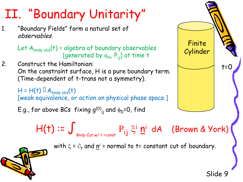### II. "Boundary Unitarity"

1. "Boundary Fields" form a natural set of observables.

> Let  $A_{bndy\,obs}(t)$  = algebra of boundary observables [generated by  $\phi_N$ ,  $P_{ii}$ ] at time t

2. Construct the Hamiltonian: On the constraint surface, H is a pure boundary term. (Time-dependent of t-trans not a symmetry).

 $H = H(t) \square A_{bndy obs}(t)$ [weak equivalence, or action on physical phase space.]

E.g., for above BCs fixing  $g^{(0)}_{ii}$  and  $\phi_D = 0$ , find



 $H(t)$  :=  $\int_{Bndy \text{ Cut } w/t\text{ const}} P_{ij} \xi^i \underline{n}^i$  dA (Brown & York) with  $\xi = \partial_t$  and  $\underline{n}$ <sup>i</sup> = normal to t= constant cut of boundary.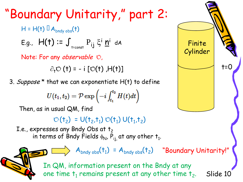"Boundary Unitarity," part 2:  $H = H(t) \mathbb{I} A_{bndv,obs}(t)$ E.g.,  $H(t) \coloneqq \int_{t=const} P_{ij} \xi^i \underline{n}^i$  da Note: For any *observable*  $\circlearrowright$ ,  $\partial_t \mathcal{O}(t) = -i [\mathcal{O}(t), H(t)]$ 3. Suppose  $*$  that we can exponentiate  $H(t)$  to define  $U(t_1,t_2) = \mathcal{P} \exp\left(-i \int_{t_1}^{t_2} H(t) dt\right)$ Then, as in usual QM, find  $\mathcal{O}(t_2) = U(t_2,t_1) \mathcal{O}(t_1) U(t_1,t_2)$ 

I.e., expresses any Bndy Obs at  $t_2$ in terms of Bndy Fields  $\phi_N$ , P<sub>ij,</sub> at any other  $t_1$ .

> Slide 10  $\langle A_{\text{bndy obs}}(t_1) = A_{\text{bndy obs}}(t_2)$  "Boundary Unitarity!" In QM, information present on the Bndy at any one time  $t_1$  remains present at any other time  $t_2$ .

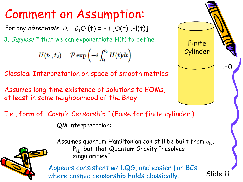#### Comment on Assumption:

For any *observable*  $\circledcirc$ ,  $\partial_t \circledcirc$  (t) = - i [ $\circlearrowright$ (t),H(t)]

3. Suppose  $*$  that we can exponentiate  $H(t)$  to define

$$
U(t_1,t_2) = \mathcal{P}\exp\left(-i\int_{t_1}^{t_2} H(t) dt\right)
$$

Classical Interpretation on space of smooth metrics:

Assumes long-time existence of solutions to EOMs, at least in some neighborhood of the Bndy.

I.e., form of "Cosmic Censorship." (False for finite cylinder.)

QM interpretation:



Assumes quantum Hamiltonian can still be built from  $\phi_{N}$ , P<sub>ij,</sub>, but that Quantum Gravity "resolves singularities".

Appears consistent w/ LQG, and easier for BCs where cosmic censorship holds classically.

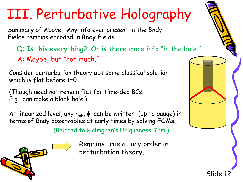# III. Perturbative Holography

Summary of Above: Any info ever present in the Bndy Fields remains encoded in Bndy Fields.

Q: Is this everything? Or is there more info "in the bulk." A: Maybe, but "not much."

Consider perturbation theory abt some classical solution which is flat before t=0.

(Though need not remain flat for time-dep BCs. E.g., can make a black hole.)

At linearized level, any  $h_{ab}$ ,  $\phi$  can be written (up to gauge) in terms of Bndy observables at early times by solving EOMs.

(Related to Holmgren's Uniqueness Thm.)



Remains true at any order in perturbation theory.

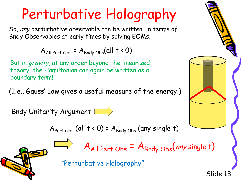# Perturbative Holography

So, any perturbative observable can be written in terms of Bndy Observables at early times by solving EOMs.

$$
A_{\text{All Pert Obs}} = A_{\text{Bndy Obs}}(\text{all } t \cdot 0)
$$

But in *gravity*, at any order beyond the linearized theory, the Hamiltonian can again be written as a boundary term!

(I.e., Gauss' Law gives a useful measure of the energy.)

Bndy Unitarity Argument

$$
A_{\text{Pert Obs}} \text{(all } t < 0) = A_{\text{Bndy Obs}} \text{(any single } t)
$$

 $A_{All$  Pert Obs =  $A_{Bndy}$  Obs (any single t)



"Perturbative Holography"

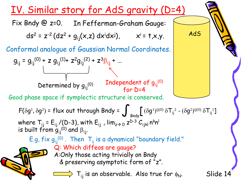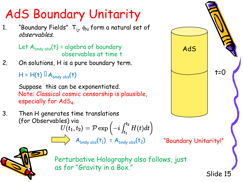### AdS Boundary Unitarity

1. "Boundary Fields"  $T_{ij}$ ,  $\phi_N$  form a natural set of observables.

> Let  $A_{bndy \, obs}(t)$  = algebra of boundary observables at time t

2. On solutions, H is a pure boundary term.

 $H = H(t)$   $A_{bndy obs}(t)$ 

Suppose this can be exponentiated. Note: Classical cosmic censorship is plausible, especially for AdS<sub>4</sub>.

3. Then H generates time translations (for Observables) via $U(t_1,t_2) = \mathcal{P}\exp\left(-i\int_{t_1}^{t_2}H(t)dt\right)$  $A_{bndy \, obs}(t_1) = A_{bndy \, obs}(t_2)$  "Boundary Unitarity!"



Perturbative Holography also follows, just as for "Gravity in a Box."

Slide 15

t=0

AdS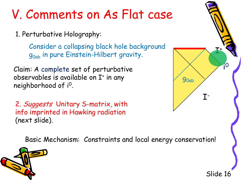#### V. Comments on As Flat case

1. Perturbative Holography:

Consider a collapsing black hole background g<sub>0ab</sub> in pure Einstein-Hilbert gravity.

Claim: A complete set of perturbative observables is available on I<sup>+</sup> in any neighborhood of i0.

2. Suggests Unitary S-matrix, with info imprinted in Hawking radiation (next slide).

Basic Mechanism: Constraints and local energy conservation!



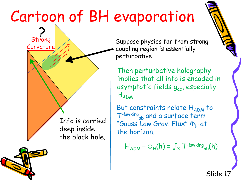# Cartoon of BH evaporation

Info is carried deep inside the black hole.

**?** 

Strong

Strong<br>Curvature Suppose physics far from strong<br>Curvature Curvature Suppose physics far from strong coupling region is essentially perturbative.

> Then perturbative holography implies that all info is encoded in asymptotic fields gab, especially HADM.

But constraints relate  $H_{ADM}$  to THawking<sub>ab</sub> and a surface term "Gauss Law Grav. Flux"  $\Phi_H$  at the horizon.

 $H_{ADM} - \Phi_H(h) = \int_{\Sigma} T^{Hawking}_{ab}(h)$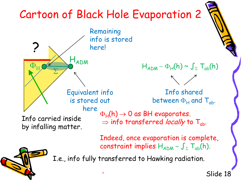#### Slide 18 Cartoon of Black Hole Evaporation 2 Σ **HADM** Equivalent info is stored out here  $\Phi_H(h) \rightarrow 0$  as BH evaporates.  $\Rightarrow$  info transferred locally to  $T_{ab}$ . Indeed, once evaporation is complete, constraint implies  $H_{ADM} \sim \int_{\Sigma} T_{ab}(h)$ . , Info shared between  $\Phi_H$  and  $T_{ab}$ . Remaining info is stored here! I.e., info fully transferred to Hawking radiation. Info carried inside by infalling matter. ?  $H_{ADM}$  –  $\Phi_H(h) \sim \int_{\Sigma} T_{ab}(h)$